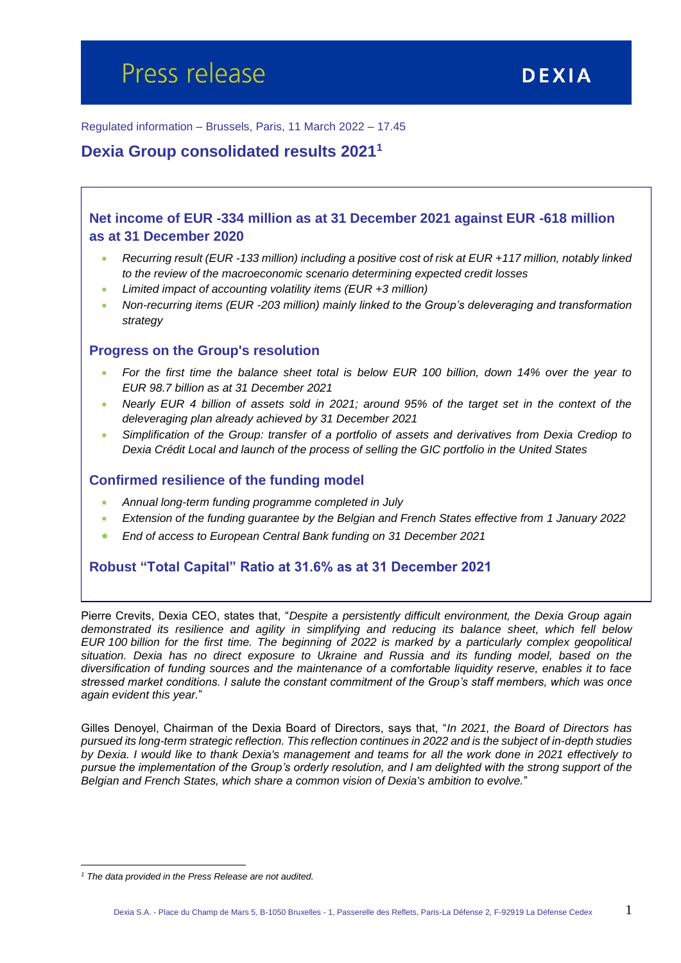Regulated information – Brussels, Paris, 11 March 2022 – 17.45

## **Dexia Group consolidated results 2021<sup>1</sup>**

## **Net income of EUR -334 million as at 31 December 2021 against EUR -618 million as at 31 December 2020**

- *Recurring result (EUR -133 million) including a positive cost of risk at EUR +117 million, notably linked to the review of the macroeconomic scenario determining expected credit losses*
- *Limited impact of accounting volatility items (EUR +3 million)*
- *Non-recurring items (EUR -203 million) mainly linked to the Group's deleveraging and transformation strategy*

#### **Progress on the Group's resolution**

- *For the first time the balance sheet total is below EUR 100 billion, down 14% over the year to EUR 98.7 billion as at 31 December 2021*
- *Nearly EUR 4 billion of assets sold in 2021; around 95% of the target set in the context of the deleveraging plan already achieved by 31 December 2021*
- *Simplification of the Group: transfer of a portfolio of assets and derivatives from Dexia Crediop to Dexia Crédit Local and launch of the process of selling the GIC portfolio in the United States*

#### **Confirmed resilience of the funding model**

- *Annual long-term funding programme completed in July*
- *Extension of the funding guarantee by the Belgian and French States effective from 1 January 2022*
- *End of access to European Central Bank funding on 31 December 2021*

#### **Robust "Total Capital" Ratio at 31.6% as at 31 December 2021**

Pierre Crevits, Dexia CEO, states that, "*Despite a persistently difficult environment, the Dexia Group again demonstrated its resilience and agility in simplifying and reducing its balance sheet, which fell below EUR 100 billion for the first time. The beginning of 2022 is marked by a particularly complex geopolitical situation. Dexia has no direct exposure to Ukraine and Russia and its funding model, based on the diversification of funding sources and the maintenance of a comfortable liquidity reserve, enables it to face stressed market conditions. I salute the constant commitment of the Group's staff members, which was once again evident this year.*"

Gilles Denoyel, Chairman of the Dexia Board of Directors, says that, "*In 2021, the Board of Directors has pursued its long-term strategic reflection. This reflection continues in 2022 and is the subject of in-depth studies by Dexia. I would like to thank Dexia's management and teams for all the work done in 2021 effectively to pursue the implementation of the Group's orderly resolution, and I am delighted with the strong support of the Belgian and French States, which share a common vision of Dexia's ambition to evolve.*"

 $\overline{a}$ 

*<sup>1</sup> The data provided in the Press Release are not audited.*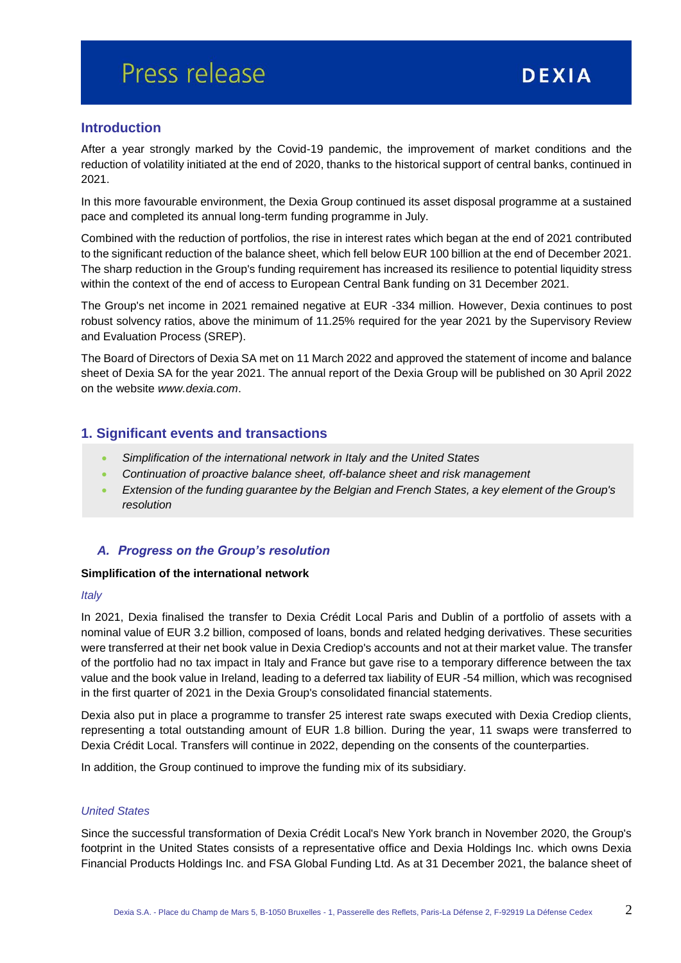## **Introduction**

After a year strongly marked by the Covid-19 pandemic, the improvement of market conditions and the reduction of volatility initiated at the end of 2020, thanks to the historical support of central banks, continued in 2021.

In this more favourable environment, the Dexia Group continued its asset disposal programme at a sustained pace and completed its annual long-term funding programme in July.

Combined with the reduction of portfolios, the rise in interest rates which began at the end of 2021 contributed to the significant reduction of the balance sheet, which fell below EUR 100 billion at the end of December 2021. The sharp reduction in the Group's funding requirement has increased its resilience to potential liquidity stress within the context of the end of access to European Central Bank funding on 31 December 2021.

The Group's net income in 2021 remained negative at EUR -334 million. However, Dexia continues to post robust solvency ratios, above the minimum of 11.25% required for the year 2021 by the Supervisory Review and Evaluation Process (SREP).

The Board of Directors of Dexia SA met on 11 March 2022 and approved the statement of income and balance sheet of Dexia SA for the year 2021. The annual report of the Dexia Group will be published on 30 April 2022 on the website *[www.dexia.com](http://www.dexia.com/)*.

## **1. Significant events and transactions**

- *Simplification of the international network in Italy and the United States*
- *Continuation of proactive balance sheet, off-balance sheet and risk management*
- *Extension of the funding guarantee by the Belgian and French States, a key element of the Group's resolution*

## *A. Progress on the Group's resolution*

#### **Simplification of the international network**

#### *Italy*

In 2021, Dexia finalised the transfer to Dexia Crédit Local Paris and Dublin of a portfolio of assets with a nominal value of EUR 3.2 billion, composed of loans, bonds and related hedging derivatives. These securities were transferred at their net book value in Dexia Crediop's accounts and not at their market value. The transfer of the portfolio had no tax impact in Italy and France but gave rise to a temporary difference between the tax value and the book value in Ireland, leading to a deferred tax liability of EUR -54 million, which was recognised in the first quarter of 2021 in the Dexia Group's consolidated financial statements.

Dexia also put in place a programme to transfer 25 interest rate swaps executed with Dexia Crediop clients, representing a total outstanding amount of EUR 1.8 billion. During the year, 11 swaps were transferred to Dexia Crédit Local. Transfers will continue in 2022, depending on the consents of the counterparties.

In addition, the Group continued to improve the funding mix of its subsidiary.

#### *United States*

Since the successful transformation of Dexia Crédit Local's New York branch in November 2020, the Group's footprint in the United States consists of a representative office and Dexia Holdings Inc. which owns Dexia Financial Products Holdings Inc. and FSA Global Funding Ltd. As at 31 December 2021, the balance sheet of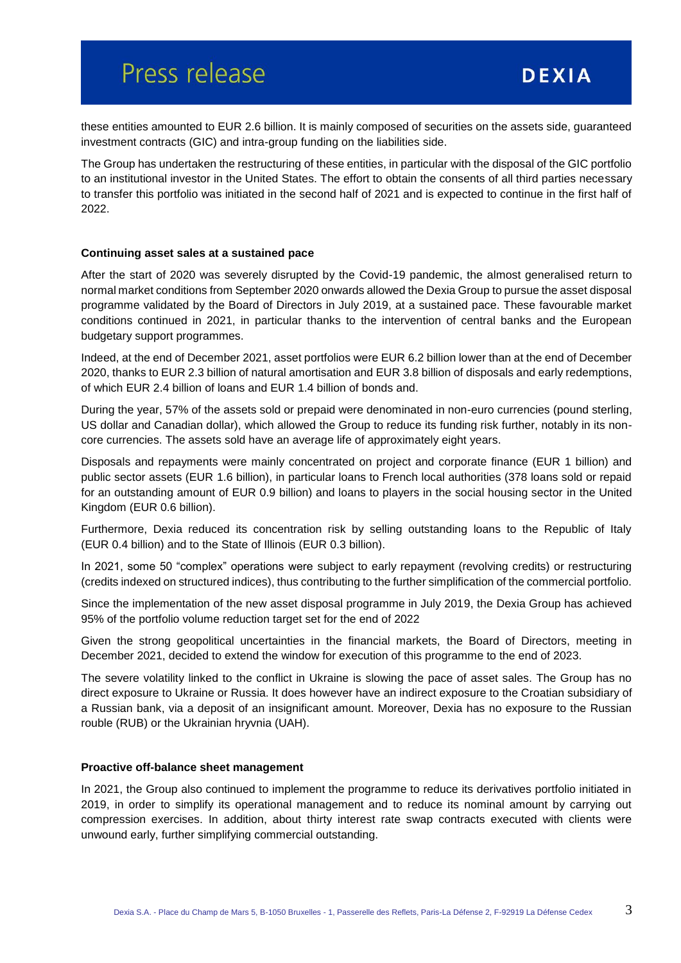these entities amounted to EUR 2.6 billion. It is mainly composed of securities on the assets side, guaranteed investment contracts (GIC) and intra-group funding on the liabilities side.

The Group has undertaken the restructuring of these entities, in particular with the disposal of the GIC portfolio to an institutional investor in the United States. The effort to obtain the consents of all third parties necessary to transfer this portfolio was initiated in the second half of 2021 and is expected to continue in the first half of 2022.

#### **Continuing asset sales at a sustained pace**

After the start of 2020 was severely disrupted by the Covid-19 pandemic, the almost generalised return to normal market conditions from September 2020 onwards allowed the Dexia Group to pursue the asset disposal programme validated by the Board of Directors in July 2019, at a sustained pace. These favourable market conditions continued in 2021, in particular thanks to the intervention of central banks and the European budgetary support programmes.

Indeed, at the end of December 2021, asset portfolios were EUR 6.2 billion lower than at the end of December 2020, thanks to EUR 2.3 billion of natural amortisation and EUR 3.8 billion of disposals and early redemptions, of which EUR 2.4 billion of loans and EUR 1.4 billion of bonds and.

During the year, 57% of the assets sold or prepaid were denominated in non-euro currencies (pound sterling, US dollar and Canadian dollar), which allowed the Group to reduce its funding risk further, notably in its noncore currencies. The assets sold have an average life of approximately eight years.

Disposals and repayments were mainly concentrated on project and corporate finance (EUR 1 billion) and public sector assets (EUR 1.6 billion), in particular loans to French local authorities (378 loans sold or repaid for an outstanding amount of EUR 0.9 billion) and loans to players in the social housing sector in the United Kingdom (EUR 0.6 billion).

Furthermore, Dexia reduced its concentration risk by selling outstanding loans to the Republic of Italy (EUR 0.4 billion) and to the State of Illinois (EUR 0.3 billion).

In 2021, some 50 "complex" operations were subject to early repayment (revolving credits) or restructuring (credits indexed on structured indices), thus contributing to the further simplification of the commercial portfolio.

Since the implementation of the new asset disposal programme in July 2019, the Dexia Group has achieved 95% of the portfolio volume reduction target set for the end of 2022

Given the strong geopolitical uncertainties in the financial markets, the Board of Directors, meeting in December 2021, decided to extend the window for execution of this programme to the end of 2023.

The severe volatility linked to the conflict in Ukraine is slowing the pace of asset sales. The Group has no direct exposure to Ukraine or Russia. It does however have an indirect exposure to the Croatian subsidiary of a Russian bank, via a deposit of an insignificant amount. Moreover, Dexia has no exposure to the Russian rouble (RUB) or the Ukrainian hryvnia (UAH).

#### **Proactive off-balance sheet management**

In 2021, the Group also continued to implement the programme to reduce its derivatives portfolio initiated in 2019, in order to simplify its operational management and to reduce its nominal amount by carrying out compression exercises. In addition, about thirty interest rate swap contracts executed with clients were unwound early, further simplifying commercial outstanding.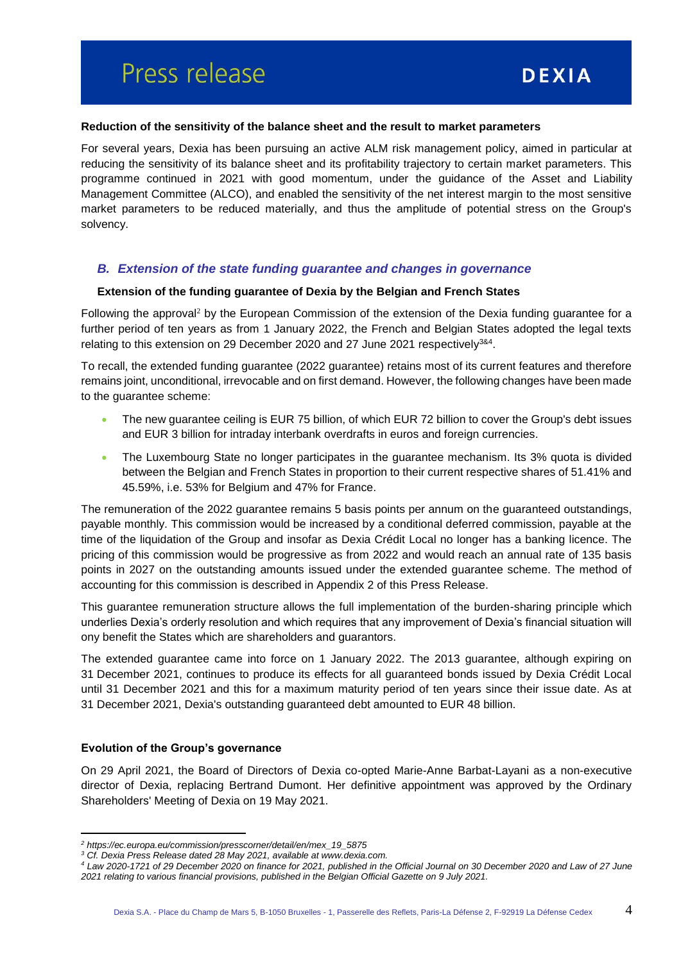#### **Reduction of the sensitivity of the balance sheet and the result to market parameters**

For several years, Dexia has been pursuing an active ALM risk management policy, aimed in particular at reducing the sensitivity of its balance sheet and its profitability trajectory to certain market parameters. This programme continued in 2021 with good momentum, under the guidance of the Asset and Liability Management Committee (ALCO), and enabled the sensitivity of the net interest margin to the most sensitive market parameters to be reduced materially, and thus the amplitude of potential stress on the Group's solvency.

#### *B. Extension of the state funding guarantee and changes in governance*

#### **Extension of the funding guarantee of Dexia by the Belgian and French States**

Following the approval<sup>2</sup> by the European Commission of the extension of the Dexia funding guarantee for a further period of ten years as from 1 January 2022, the French and Belgian States adopted the legal texts relating to this extension on 29 December 2020 and 27 June 2021 respectively<sup>3&4</sup>.

To recall, the extended funding guarantee (2022 guarantee) retains most of its current features and therefore remains joint, unconditional, irrevocable and on first demand. However, the following changes have been made to the guarantee scheme:

- The new guarantee ceiling is EUR 75 billion, of which EUR 72 billion to cover the Group's debt issues and EUR 3 billion for intraday interbank overdrafts in euros and foreign currencies.
- The Luxembourg State no longer participates in the guarantee mechanism. Its 3% quota is divided between the Belgian and French States in proportion to their current respective shares of 51.41% and 45.59%, i.e. 53% for Belgium and 47% for France.

The remuneration of the 2022 guarantee remains 5 basis points per annum on the guaranteed outstandings, payable monthly. This commission would be increased by a conditional deferred commission, payable at the time of the liquidation of the Group and insofar as Dexia Crédit Local no longer has a banking licence. The pricing of this commission would be progressive as from 2022 and would reach an annual rate of 135 basis points in 2027 on the outstanding amounts issued under the extended guarantee scheme. The method of accounting for this commission is described in Appendix 2 of this Press Release.

This guarantee remuneration structure allows the full implementation of the burden-sharing principle which underlies Dexia's orderly resolution and which requires that any improvement of Dexia's financial situation will ony benefit the States which are shareholders and guarantors.

The extended guarantee came into force on 1 January 2022. The 2013 guarantee, although expiring on 31 December 2021, continues to produce its effects for all guaranteed bonds issued by Dexia Crédit Local until 31 December 2021 and this for a maximum maturity period of ten years since their issue date. As at 31 December 2021, Dexia's outstanding guaranteed debt amounted to EUR 48 billion.

#### **Evolution of the Group's governance**

 $\overline{a}$ 

On 29 April 2021, the Board of Directors of Dexia co-opted Marie-Anne Barbat-Layani as a non-executive director of Dexia, replacing Bertrand Dumont. Her definitive appointment was approved by the Ordinary Shareholders' Meeting of Dexia on 19 May 2021.

*<sup>2</sup> https://ec.europa.eu/commission/presscorner/detail/en/mex\_19\_5875*

*<sup>3</sup> Cf. Dexia Press Release dated 28 May 2021, available at www.dexia.com.*

*<sup>4</sup> Law 2020-1721 of 29 December 2020 on finance for 2021, published in the Official Journal on 30 December 2020 and Law of 27 June 2021 relating to various financial provisions, published in the Belgian Official Gazette on 9 July 2021.*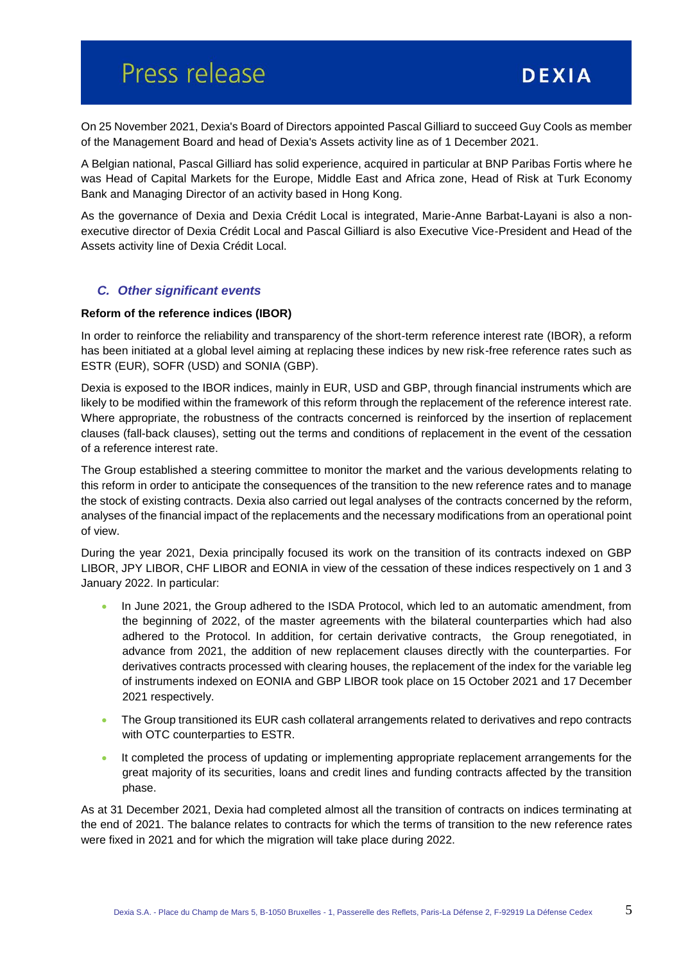On 25 November 2021, Dexia's Board of Directors appointed Pascal Gilliard to succeed Guy Cools as member of the Management Board and head of Dexia's Assets activity line as of 1 December 2021.

A Belgian national, Pascal Gilliard has solid experience, acquired in particular at BNP Paribas Fortis where he was Head of Capital Markets for the Europe, Middle East and Africa zone, Head of Risk at Turk Economy Bank and Managing Director of an activity based in Hong Kong.

As the governance of Dexia and Dexia Crédit Local is integrated, Marie-Anne Barbat-Layani is also a nonexecutive director of Dexia Crédit Local and Pascal Gilliard is also Executive Vice-President and Head of the Assets activity line of Dexia Crédit Local.

#### *C. Other significant events*

#### **Reform of the reference indices (IBOR)**

In order to reinforce the reliability and transparency of the short-term reference interest rate (IBOR), a reform has been initiated at a global level aiming at replacing these indices by new risk-free reference rates such as ESTR (EUR), SOFR (USD) and SONIA (GBP).

Dexia is exposed to the IBOR indices, mainly in EUR, USD and GBP, through financial instruments which are likely to be modified within the framework of this reform through the replacement of the reference interest rate. Where appropriate, the robustness of the contracts concerned is reinforced by the insertion of replacement clauses (fall-back clauses), setting out the terms and conditions of replacement in the event of the cessation of a reference interest rate.

The Group established a steering committee to monitor the market and the various developments relating to this reform in order to anticipate the consequences of the transition to the new reference rates and to manage the stock of existing contracts. Dexia also carried out legal analyses of the contracts concerned by the reform, analyses of the financial impact of the replacements and the necessary modifications from an operational point of view.

During the year 2021, Dexia principally focused its work on the transition of its contracts indexed on GBP LIBOR, JPY LIBOR, CHF LIBOR and EONIA in view of the cessation of these indices respectively on 1 and 3 January 2022. In particular:

- In June 2021, the Group adhered to the ISDA Protocol, which led to an automatic amendment, from the beginning of 2022, of the master agreements with the bilateral counterparties which had also adhered to the Protocol. In addition, for certain derivative contracts, the Group renegotiated, in advance from 2021, the addition of new replacement clauses directly with the counterparties. For derivatives contracts processed with clearing houses, the replacement of the index for the variable leg of instruments indexed on EONIA and GBP LIBOR took place on 15 October 2021 and 17 December 2021 respectively.
- The Group transitioned its EUR cash collateral arrangements related to derivatives and repo contracts with OTC counterparties to ESTR.
- It completed the process of updating or implementing appropriate replacement arrangements for the great majority of its securities, loans and credit lines and funding contracts affected by the transition phase.

As at 31 December 2021, Dexia had completed almost all the transition of contracts on indices terminating at the end of 2021. The balance relates to contracts for which the terms of transition to the new reference rates were fixed in 2021 and for which the migration will take place during 2022.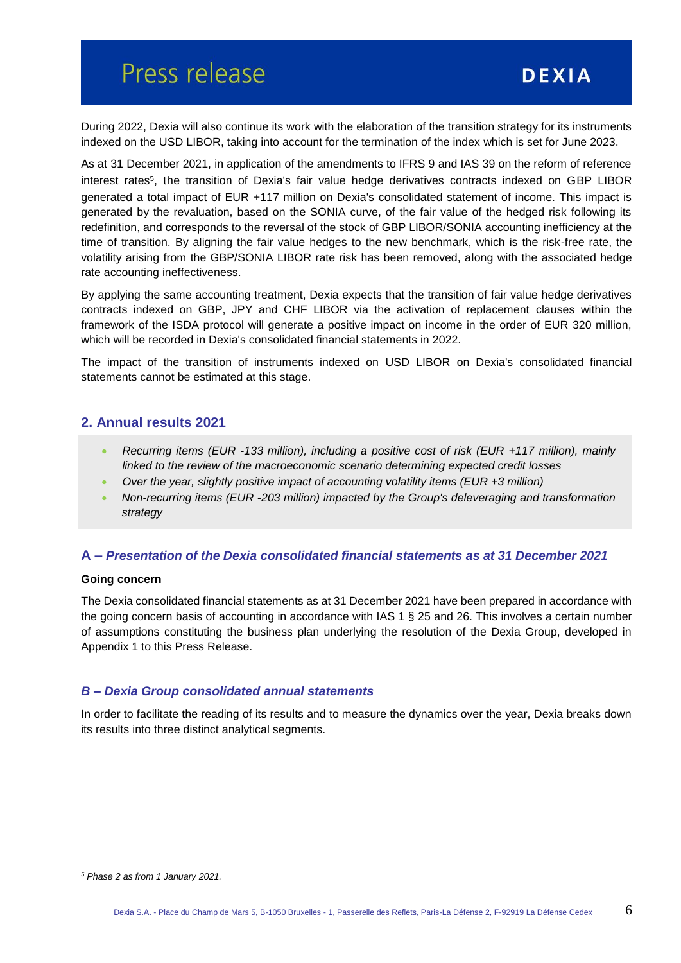During 2022, Dexia will also continue its work with the elaboration of the transition strategy for its instruments indexed on the USD LIBOR, taking into account for the termination of the index which is set for June 2023.

As at 31 December 2021, in application of the amendments to IFRS 9 and IAS 39 on the reform of reference interest rates<sup>5</sup>, the transition of Dexia's fair value hedge derivatives contracts indexed on GBP LIBOR generated a total impact of EUR +117 million on Dexia's consolidated statement of income. This impact is generated by the revaluation, based on the SONIA curve, of the fair value of the hedged risk following its redefinition, and corresponds to the reversal of the stock of GBP LIBOR/SONIA accounting inefficiency at the time of transition. By aligning the fair value hedges to the new benchmark, which is the risk-free rate, the volatility arising from the GBP/SONIA LIBOR rate risk has been removed, along with the associated hedge rate accounting ineffectiveness.

By applying the same accounting treatment, Dexia expects that the transition of fair value hedge derivatives contracts indexed on GBP, JPY and CHF LIBOR via the activation of replacement clauses within the framework of the ISDA protocol will generate a positive impact on income in the order of EUR 320 million, which will be recorded in Dexia's consolidated financial statements in 2022.

The impact of the transition of instruments indexed on USD LIBOR on Dexia's consolidated financial statements cannot be estimated at this stage.

## **2. Annual results 2021**

- *Recurring items (EUR -133 million), including a positive cost of risk (EUR +117 million), mainly linked to the review of the macroeconomic scenario determining expected credit losses*
- *Over the year, slightly positive impact of accounting volatility items (EUR +3 million)*
- *Non-recurring items (EUR -203 million) impacted by the Group's deleveraging and transformation strategy*

#### **A –** *Presentation of the Dexia consolidated financial statements as at 31 December 2021*

#### **Going concern**

The Dexia consolidated financial statements as at 31 December 2021 have been prepared in accordance with the going concern basis of accounting in accordance with IAS 1 § 25 and 26. This involves a certain number of assumptions constituting the business plan underlying the resolution of the Dexia Group, developed in Appendix 1 to this Press Release.

#### *B – Dexia Group consolidated annual statements*

In order to facilitate the reading of its results and to measure the dynamics over the year, Dexia breaks down its results into three distinct analytical segments.

 $\overline{a}$ *<sup>5</sup> Phase 2 as from 1 January 2021.*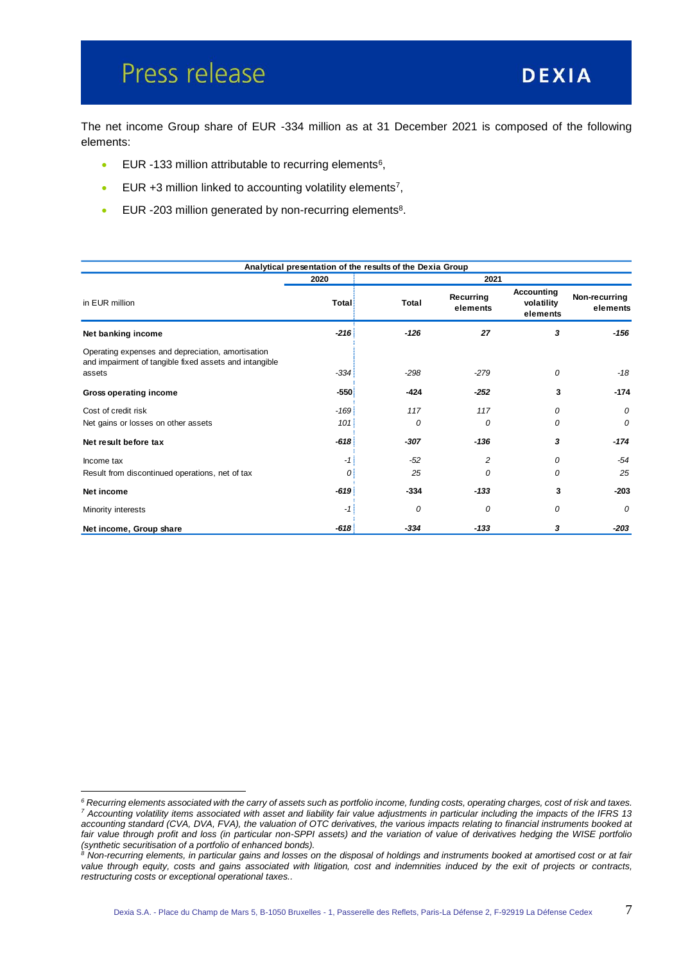$\overline{a}$ 

The net income Group share of EUR -334 million as at 31 December 2021 is composed of the following elements:

- $\bullet$  EUR -133 million attributable to recurring elements<sup>6</sup>,
- EUR  $+3$  million linked to accounting volatility elements<sup>7</sup>,
- EUR -203 million generated by non-recurring elements<sup>8</sup>.

|                                                                                                                       |        | Analytical presentation of the results of the Dexia Group |                       |                                      |                           |
|-----------------------------------------------------------------------------------------------------------------------|--------|-----------------------------------------------------------|-----------------------|--------------------------------------|---------------------------|
|                                                                                                                       | 2020   |                                                           | 2021                  |                                      |                           |
| in EUR million                                                                                                        | Total  | Total                                                     | Recurring<br>elements | Accounting<br>volatility<br>elements | Non-recurring<br>elements |
| Net banking income                                                                                                    | $-216$ | -126                                                      | 27                    | 3                                    | $-156$                    |
| Operating expenses and depreciation, amortisation<br>and impairment of tangible fixed assets and intangible<br>assets | $-334$ | $-298$                                                    | $-279$                | 0                                    | $-18$                     |
| <b>Gross operating income</b>                                                                                         | $-550$ | -424                                                      | $-252$                | 3                                    | $-174$                    |
| Cost of credit risk                                                                                                   | $-169$ | 117                                                       | 117                   | 0                                    | 0                         |
| Net gains or losses on other assets                                                                                   | 101    | 0                                                         | 0                     | $\Omega$                             | 0                         |
| Net result before tax                                                                                                 | $-618$ | $-307$                                                    | $-136$                | 3                                    | $-174$                    |
| Income tax                                                                                                            | -1     | $-52$                                                     | 2                     | 0                                    | $-54$                     |
| Result from discontinued operations, net of tax                                                                       | 0      | 25                                                        | $\Omega$              | $\Omega$                             | 25                        |
| Net income                                                                                                            | $-619$ | $-334$                                                    | $-133$                | 3                                    | $-203$                    |
| Minority interests                                                                                                    | -1     | 0                                                         | 0                     | 0                                    | 0                         |
| Net income, Group share                                                                                               | $-618$ | $-334$                                                    | $-133$                | 3                                    | $-203$                    |

*<sup>6</sup> Recurring elements associated with the carry of assets such as portfolio income, funding costs, operating charges, cost of risk and taxes. <sup>7</sup> Accounting volatility items associated with asset and liability fair value adjustments in particular including the impacts of the IFRS 13 accounting standard (CVA, DVA, FVA), the valuation of OTC derivatives, the various impacts relating to financial instruments booked at*  fair value through profit and loss (in particular non-SPPI assets) and the variation of value of derivatives hedging the WISE portfolio *(synthetic securitisation of a portfolio of enhanced bonds).*

*<sup>8</sup> Non-recurring elements, in particular gains and losses on the disposal of holdings and instruments booked at amortised cost or at fair value through equity, costs and gains associated with litigation, cost and indemnities induced by the exit of projects or contracts, restructuring costs or exceptional operational taxes..*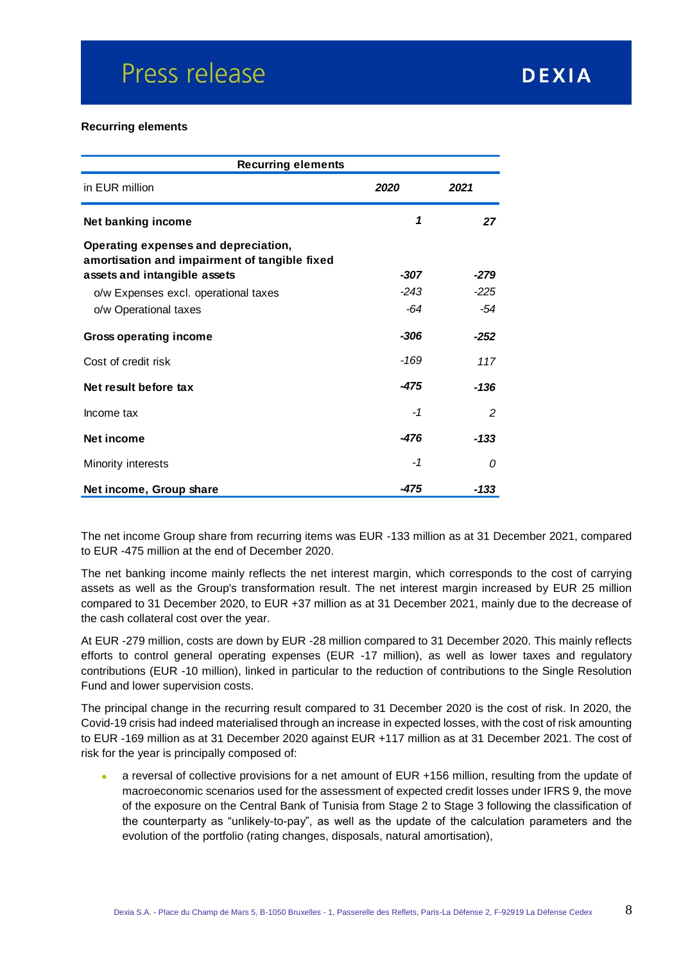#### **Recurring elements**

| <b>Recurring elements</b>                                                             |        |               |  |  |
|---------------------------------------------------------------------------------------|--------|---------------|--|--|
| in EUR million                                                                        | 2020   | 2021          |  |  |
| Net banking income                                                                    | 1      | 27            |  |  |
| Operating expenses and depreciation,<br>amortisation and impairment of tangible fixed |        |               |  |  |
| assets and intangible assets                                                          | -307   | $-279$        |  |  |
| o/w Expenses excl. operational taxes                                                  | $-243$ | $-225$        |  |  |
| o/w Operational taxes                                                                 | -64    | -54           |  |  |
| <b>Gross operating income</b>                                                         | -306   | $-252$        |  |  |
| Cost of credit risk                                                                   | $-169$ | 117           |  |  |
| Net result before tax                                                                 | -475   | $-136$        |  |  |
| Income tax                                                                            | $-1$   | $\mathcal{P}$ |  |  |
| Net income                                                                            | -476   | $-133$        |  |  |
| Minority interests                                                                    | -1     | 0             |  |  |
| Net income, Group share                                                               | -475   | -133          |  |  |

The net income Group share from recurring items was EUR -133 million as at 31 December 2021, compared to EUR -475 million at the end of December 2020.

The net banking income mainly reflects the net interest margin, which corresponds to the cost of carrying assets as well as the Group's transformation result. The net interest margin increased by EUR 25 million compared to 31 December 2020, to EUR +37 million as at 31 December 2021, mainly due to the decrease of the cash collateral cost over the year.

At EUR -279 million, costs are down by EUR -28 million compared to 31 December 2020. This mainly reflects efforts to control general operating expenses (EUR -17 million), as well as lower taxes and regulatory contributions (EUR -10 million), linked in particular to the reduction of contributions to the Single Resolution Fund and lower supervision costs.

The principal change in the recurring result compared to 31 December 2020 is the cost of risk. In 2020, the Covid-19 crisis had indeed materialised through an increase in expected losses, with the cost of risk amounting to EUR -169 million as at 31 December 2020 against EUR +117 million as at 31 December 2021. The cost of risk for the year is principally composed of:

 a reversal of collective provisions for a net amount of EUR +156 million, resulting from the update of macroeconomic scenarios used for the assessment of expected credit losses under IFRS 9, the move of the exposure on the Central Bank of Tunisia from Stage 2 to Stage 3 following the classification of the counterparty as "unlikely-to-pay", as well as the update of the calculation parameters and the evolution of the portfolio (rating changes, disposals, natural amortisation),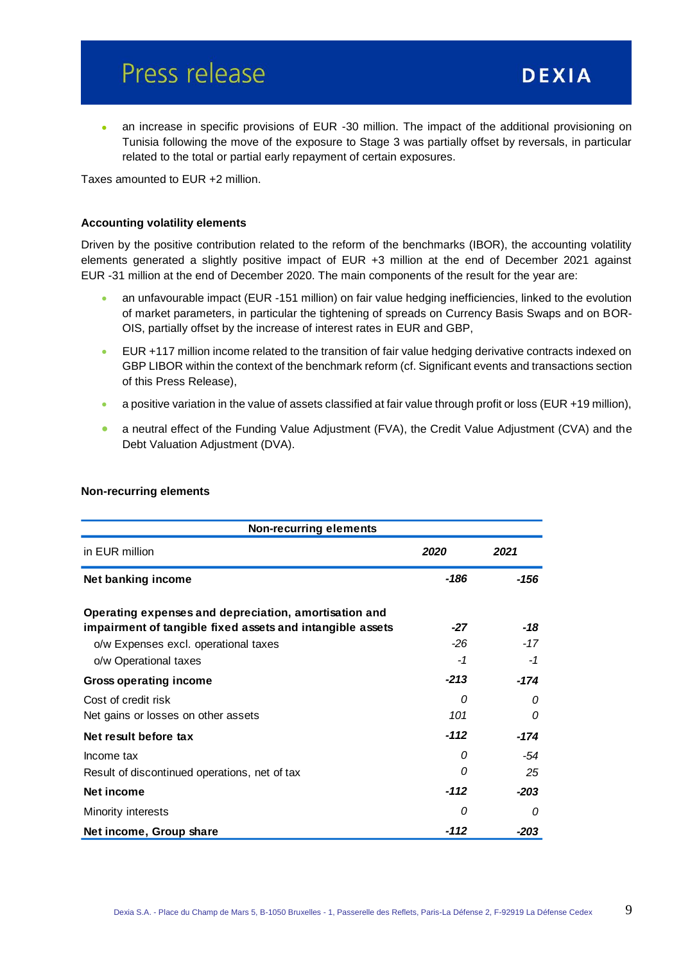an increase in specific provisions of EUR -30 million. The impact of the additional provisioning on Tunisia following the move of the exposure to Stage 3 was partially offset by reversals, in particular related to the total or partial early repayment of certain exposures.

Taxes amounted to EUR +2 million.

#### **Accounting volatility elements**

Driven by the positive contribution related to the reform of the benchmarks (IBOR), the accounting volatility elements generated a slightly positive impact of EUR +3 million at the end of December 2021 against EUR -31 million at the end of December 2020. The main components of the result for the year are:

- an unfavourable impact (EUR -151 million) on fair value hedging inefficiencies, linked to the evolution of market parameters, in particular the tightening of spreads on Currency Basis Swaps and on BOR-OIS, partially offset by the increase of interest rates in EUR and GBP,
- EUR +117 million income related to the transition of fair value hedging derivative contracts indexed on GBP LIBOR within the context of the benchmark reform (cf. Significant events and transactions section of this Press Release),
- a positive variation in the value of assets classified at fair value through profit or loss (EUR +19 million),
- a neutral effect of the Funding Value Adjustment (FVA), the Credit Value Adjustment (CVA) and the Debt Valuation Adjustment (DVA).

| <b>Non-recurring elements</b>                                                                                      |        |        |  |  |  |
|--------------------------------------------------------------------------------------------------------------------|--------|--------|--|--|--|
| in EUR million                                                                                                     | 2020   | 2021   |  |  |  |
| Net banking income                                                                                                 | -186   | $-156$ |  |  |  |
| Operating expenses and depreciation, amortisation and<br>impairment of tangible fixed assets and intangible assets | $-27$  | -18    |  |  |  |
| o/w Expenses excl. operational taxes                                                                               | $-26$  | -17    |  |  |  |
| o/w Operational taxes                                                                                              | -1     | $-1$   |  |  |  |
| Gross operating income                                                                                             | $-213$ | $-174$ |  |  |  |
| Cost of credit risk                                                                                                | 0      | 0      |  |  |  |
| Net gains or losses on other assets                                                                                | 101    | 0      |  |  |  |
| Net result before tax                                                                                              | $-112$ | -174   |  |  |  |
| Income tax                                                                                                         | 0      | -54    |  |  |  |
| Result of discontinued operations, net of tax                                                                      | 0      | 25     |  |  |  |
| Net income                                                                                                         | -112   | $-203$ |  |  |  |
| Minority interests                                                                                                 | 0      | 0      |  |  |  |
| Net income, Group share                                                                                            | -112   | -203   |  |  |  |

#### **Non-recurring elements**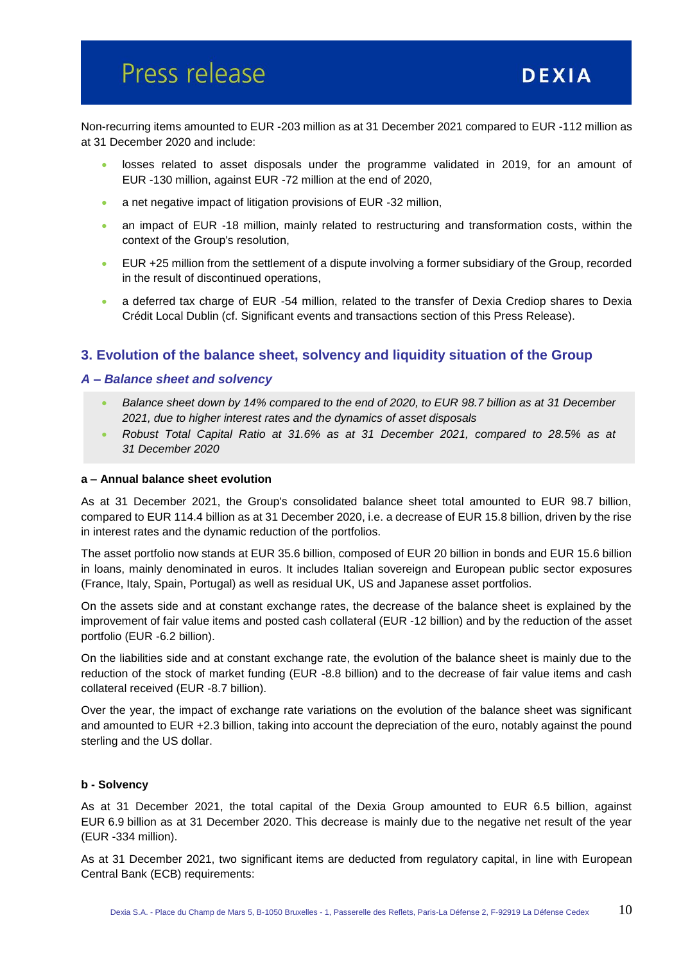Non-recurring items amounted to EUR -203 million as at 31 December 2021 compared to EUR -112 million as at 31 December 2020 and include:

- losses related to asset disposals under the programme validated in 2019, for an amount of EUR -130 million, against EUR -72 million at the end of 2020,
- a net negative impact of litigation provisions of EUR -32 million,
- an impact of EUR -18 million, mainly related to restructuring and transformation costs, within the context of the Group's resolution,
- EUR +25 million from the settlement of a dispute involving a former subsidiary of the Group, recorded in the result of discontinued operations,
- a deferred tax charge of EUR -54 million, related to the transfer of Dexia Crediop shares to Dexia Crédit Local Dublin (cf. Significant events and transactions section of this Press Release).

## **3. Evolution of the balance sheet, solvency and liquidity situation of the Group**

#### *A – Balance sheet and solvency*

- *Balance sheet down by 14% compared to the end of 2020, to EUR 98.7 billion as at 31 December 2021, due to higher interest rates and the dynamics of asset disposals*
- *Robust Total Capital Ratio at 31.6% as at 31 December 2021, compared to 28.5% as at 31 December 2020*

#### **a – Annual balance sheet evolution**

As at 31 December 2021, the Group's consolidated balance sheet total amounted to EUR 98.7 billion, compared to EUR 114.4 billion as at 31 December 2020, i.e. a decrease of EUR 15.8 billion, driven by the rise in interest rates and the dynamic reduction of the portfolios.

The asset portfolio now stands at EUR 35.6 billion, composed of EUR 20 billion in bonds and EUR 15.6 billion in loans, mainly denominated in euros. It includes Italian sovereign and European public sector exposures (France, Italy, Spain, Portugal) as well as residual UK, US and Japanese asset portfolios.

On the assets side and at constant exchange rates, the decrease of the balance sheet is explained by the improvement of fair value items and posted cash collateral (EUR -12 billion) and by the reduction of the asset portfolio (EUR -6.2 billion).

On the liabilities side and at constant exchange rate, the evolution of the balance sheet is mainly due to the reduction of the stock of market funding (EUR -8.8 billion) and to the decrease of fair value items and cash collateral received (EUR -8.7 billion).

Over the year, the impact of exchange rate variations on the evolution of the balance sheet was significant and amounted to EUR +2.3 billion, taking into account the depreciation of the euro, notably against the pound sterling and the US dollar.

#### **b - Solvency**

As at 31 December 2021, the total capital of the Dexia Group amounted to EUR 6.5 billion, against EUR 6.9 billion as at 31 December 2020. This decrease is mainly due to the negative net result of the year (EUR -334 million).

As at 31 December 2021, two significant items are deducted from regulatory capital, in line with European Central Bank (ECB) requirements: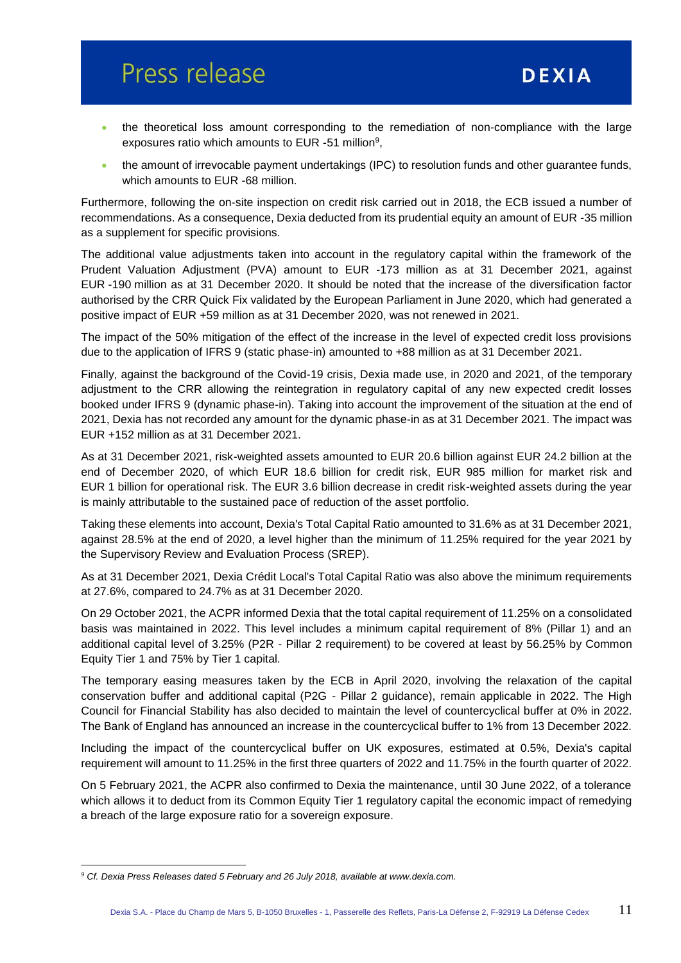- the theoretical loss amount corresponding to the remediation of non-compliance with the large exposures ratio which amounts to EUR  $-51$  million<sup>9</sup>,
- the amount of irrevocable payment undertakings (IPC) to resolution funds and other guarantee funds, which amounts to EUR -68 million.

Furthermore, following the on-site inspection on credit risk carried out in 2018, the ECB issued a number of recommendations. As a consequence, Dexia deducted from its prudential equity an amount of EUR -35 million as a supplement for specific provisions.

The additional value adjustments taken into account in the regulatory capital within the framework of the Prudent Valuation Adjustment (PVA) amount to EUR -173 million as at 31 December 2021, against EUR -190 million as at 31 December 2020. It should be noted that the increase of the diversification factor authorised by the CRR Quick Fix validated by the European Parliament in June 2020, which had generated a positive impact of EUR +59 million as at 31 December 2020, was not renewed in 2021.

The impact of the 50% mitigation of the effect of the increase in the level of expected credit loss provisions due to the application of IFRS 9 (static phase-in) amounted to +88 million as at 31 December 2021.

Finally, against the background of the Covid-19 crisis, Dexia made use, in 2020 and 2021, of the temporary adjustment to the CRR allowing the reintegration in regulatory capital of any new expected credit losses booked under IFRS 9 (dynamic phase-in). Taking into account the improvement of the situation at the end of 2021, Dexia has not recorded any amount for the dynamic phase-in as at 31 December 2021. The impact was EUR +152 million as at 31 December 2021.

As at 31 December 2021, risk-weighted assets amounted to EUR 20.6 billion against EUR 24.2 billion at the end of December 2020, of which EUR 18.6 billion for credit risk, EUR 985 million for market risk and EUR 1 billion for operational risk. The EUR 3.6 billion decrease in credit risk-weighted assets during the year is mainly attributable to the sustained pace of reduction of the asset portfolio.

Taking these elements into account, Dexia's Total Capital Ratio amounted to 31.6% as at 31 December 2021, against 28.5% at the end of 2020, a level higher than the minimum of 11.25% required for the year 2021 by the Supervisory Review and Evaluation Process (SREP).

As at 31 December 2021, Dexia Crédit Local's Total Capital Ratio was also above the minimum requirements at 27.6%, compared to 24.7% as at 31 December 2020.

On 29 October 2021, the ACPR informed Dexia that the total capital requirement of 11.25% on a consolidated basis was maintained in 2022. This level includes a minimum capital requirement of 8% (Pillar 1) and an additional capital level of 3.25% (P2R - Pillar 2 requirement) to be covered at least by 56.25% by Common Equity Tier 1 and 75% by Tier 1 capital.

The temporary easing measures taken by the ECB in April 2020, involving the relaxation of the capital conservation buffer and additional capital (P2G - Pillar 2 guidance), remain applicable in 2022. The High Council for Financial Stability has also decided to maintain the level of countercyclical buffer at 0% in 2022. The Bank of England has announced an increase in the countercyclical buffer to 1% from 13 December 2022.

Including the impact of the countercyclical buffer on UK exposures, estimated at 0.5%, Dexia's capital requirement will amount to 11.25% in the first three quarters of 2022 and 11.75% in the fourth quarter of 2022.

On 5 February 2021, the ACPR also confirmed to Dexia the maintenance, until 30 June 2022, of a tolerance which allows it to deduct from its Common Equity Tier 1 regulatory capital the economic impact of remedying a breach of the large exposure ratio for a sovereign exposure.

 $\overline{a}$ 

*<sup>9</sup> Cf. Dexia Press Releases dated 5 February and 26 July 2018, available at www.dexia.com.*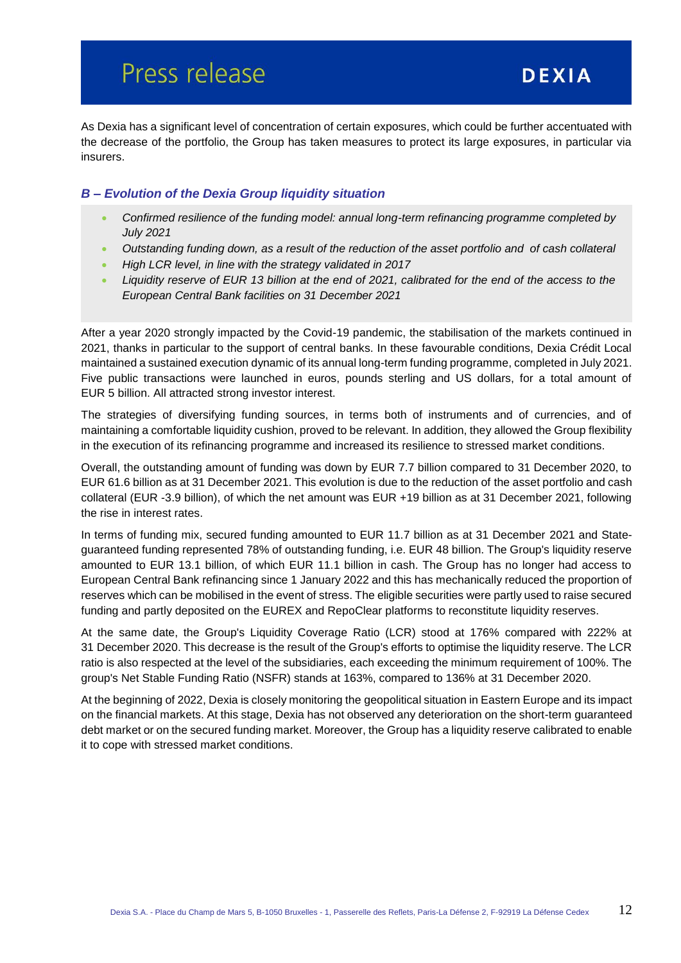As Dexia has a significant level of concentration of certain exposures, which could be further accentuated with the decrease of the portfolio, the Group has taken measures to protect its large exposures, in particular via insurers.

### *B – Evolution of the Dexia Group liquidity situation*

- *Confirmed resilience of the funding model: annual long-term refinancing programme completed by July 2021*
- *Outstanding funding down, as a result of the reduction of the asset portfolio and of cash collateral*
- *High LCR level, in line with the strategy validated in 2017*
- *Liquidity reserve of EUR 13 billion at the end of 2021, calibrated for the end of the access to the European Central Bank facilities on 31 December 2021*

After a year 2020 strongly impacted by the Covid-19 pandemic, the stabilisation of the markets continued in 2021, thanks in particular to the support of central banks. In these favourable conditions, Dexia Crédit Local maintained a sustained execution dynamic of its annual long-term funding programme, completed in July 2021. Five public transactions were launched in euros, pounds sterling and US dollars, for a total amount of EUR 5 billion. All attracted strong investor interest.

The strategies of diversifying funding sources, in terms both of instruments and of currencies, and of maintaining a comfortable liquidity cushion, proved to be relevant. In addition, they allowed the Group flexibility in the execution of its refinancing programme and increased its resilience to stressed market conditions.

Overall, the outstanding amount of funding was down by EUR 7.7 billion compared to 31 December 2020, to EUR 61.6 billion as at 31 December 2021. This evolution is due to the reduction of the asset portfolio and cash collateral (EUR -3.9 billion), of which the net amount was EUR +19 billion as at 31 December 2021, following the rise in interest rates.

In terms of funding mix, secured funding amounted to EUR 11.7 billion as at 31 December 2021 and Stateguaranteed funding represented 78% of outstanding funding, i.e. EUR 48 billion. The Group's liquidity reserve amounted to EUR 13.1 billion, of which EUR 11.1 billion in cash. The Group has no longer had access to European Central Bank refinancing since 1 January 2022 and this has mechanically reduced the proportion of reserves which can be mobilised in the event of stress. The eligible securities were partly used to raise secured funding and partly deposited on the EUREX and RepoClear platforms to reconstitute liquidity reserves.

At the same date, the Group's Liquidity Coverage Ratio (LCR) stood at 176% compared with 222% at 31 December 2020. This decrease is the result of the Group's efforts to optimise the liquidity reserve. The LCR ratio is also respected at the level of the subsidiaries, each exceeding the minimum requirement of 100%. The group's Net Stable Funding Ratio (NSFR) stands at 163%, compared to 136% at 31 December 2020.

At the beginning of 2022, Dexia is closely monitoring the geopolitical situation in Eastern Europe and its impact on the financial markets. At this stage, Dexia has not observed any deterioration on the short-term guaranteed debt market or on the secured funding market. Moreover, the Group has a liquidity reserve calibrated to enable it to cope with stressed market conditions.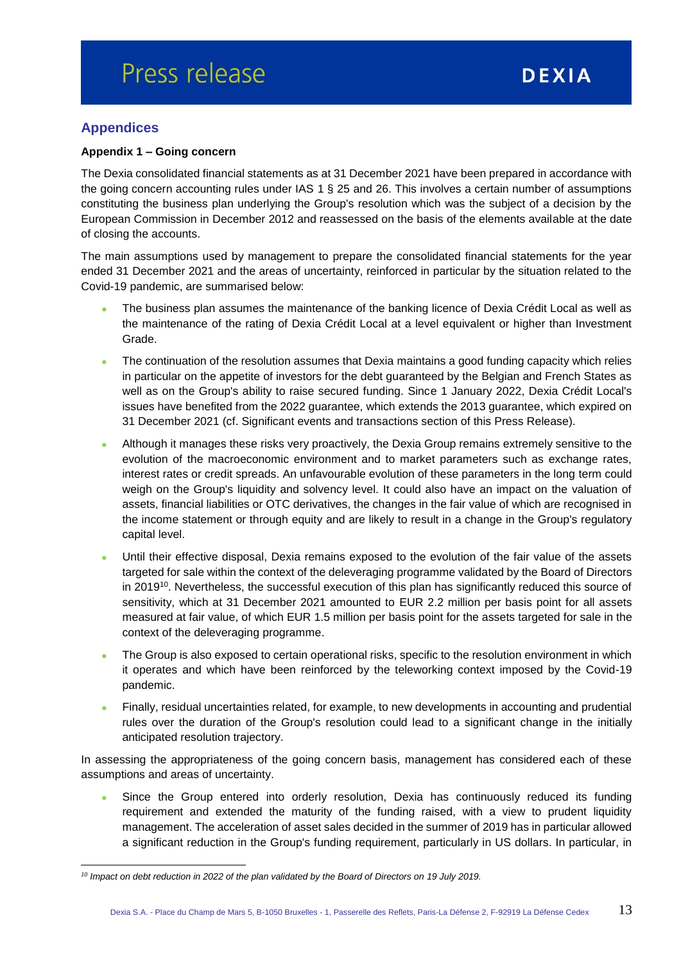## **Appendices**

 $\overline{a}$ 

#### **Appendix 1 – Going concern**

The Dexia consolidated financial statements as at 31 December 2021 have been prepared in accordance with the going concern accounting rules under IAS 1 § 25 and 26. This involves a certain number of assumptions constituting the business plan underlying the Group's resolution which was the subject of a decision by the European Commission in December 2012 and reassessed on the basis of the elements available at the date of closing the accounts.

The main assumptions used by management to prepare the consolidated financial statements for the year ended 31 December 2021 and the areas of uncertainty, reinforced in particular by the situation related to the Covid-19 pandemic, are summarised below:

- The business plan assumes the maintenance of the banking licence of Dexia Crédit Local as well as the maintenance of the rating of Dexia Crédit Local at a level equivalent or higher than Investment Grade.
- The continuation of the resolution assumes that Dexia maintains a good funding capacity which relies in particular on the appetite of investors for the debt guaranteed by the Belgian and French States as well as on the Group's ability to raise secured funding. Since 1 January 2022, Dexia Crédit Local's issues have benefited from the 2022 guarantee, which extends the 2013 guarantee, which expired on 31 December 2021 (cf. Significant events and transactions section of this Press Release).
- Although it manages these risks very proactively, the Dexia Group remains extremely sensitive to the evolution of the macroeconomic environment and to market parameters such as exchange rates, interest rates or credit spreads. An unfavourable evolution of these parameters in the long term could weigh on the Group's liquidity and solvency level. It could also have an impact on the valuation of assets, financial liabilities or OTC derivatives, the changes in the fair value of which are recognised in the income statement or through equity and are likely to result in a change in the Group's regulatory capital level.
- Until their effective disposal, Dexia remains exposed to the evolution of the fair value of the assets targeted for sale within the context of the deleveraging programme validated by the Board of Directors in 2019<sup>10</sup>. Nevertheless, the successful execution of this plan has significantly reduced this source of sensitivity, which at 31 December 2021 amounted to EUR 2.2 million per basis point for all assets measured at fair value, of which EUR 1.5 million per basis point for the assets targeted for sale in the context of the deleveraging programme.
- The Group is also exposed to certain operational risks, specific to the resolution environment in which it operates and which have been reinforced by the teleworking context imposed by the Covid-19 pandemic.
- Finally, residual uncertainties related, for example, to new developments in accounting and prudential rules over the duration of the Group's resolution could lead to a significant change in the initially anticipated resolution trajectory.

In assessing the appropriateness of the going concern basis, management has considered each of these assumptions and areas of uncertainty.

 Since the Group entered into orderly resolution, Dexia has continuously reduced its funding requirement and extended the maturity of the funding raised, with a view to prudent liquidity management. The acceleration of asset sales decided in the summer of 2019 has in particular allowed a significant reduction in the Group's funding requirement, particularly in US dollars. In particular, in

*<sup>10</sup> Impact on debt reduction in 2022 of the plan validated by the Board of Directors on 19 July 2019.*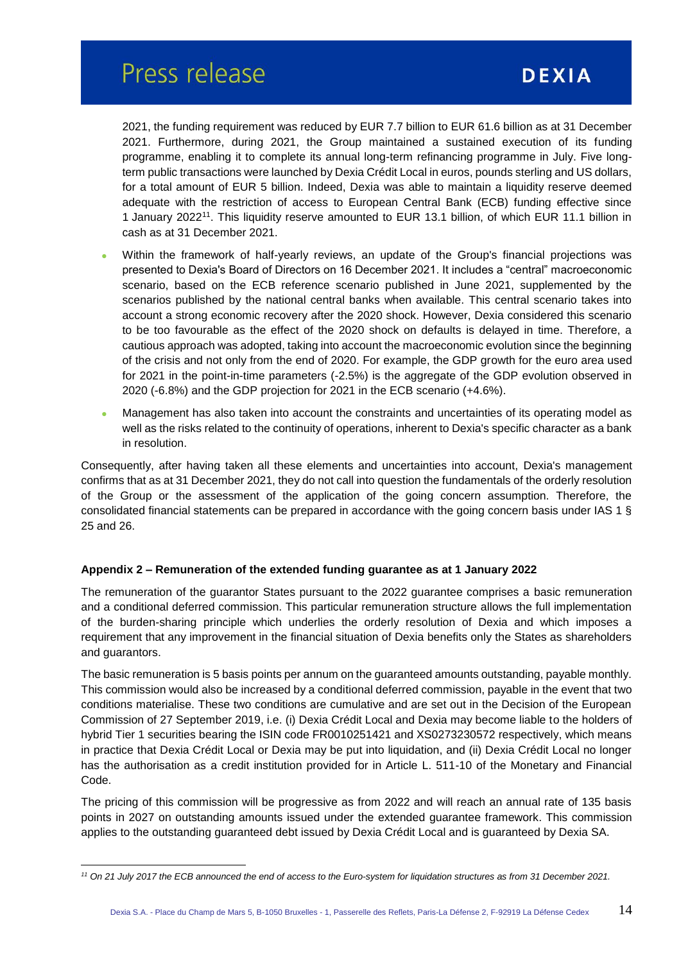2021, the funding requirement was reduced by EUR 7.7 billion to EUR 61.6 billion as at 31 December 2021. Furthermore, during 2021, the Group maintained a sustained execution of its funding programme, enabling it to complete its annual long-term refinancing programme in July. Five longterm public transactions were launched by Dexia Crédit Local in euros, pounds sterling and US dollars, for a total amount of EUR 5 billion. Indeed, Dexia was able to maintain a liquidity reserve deemed adequate with the restriction of access to European Central Bank (ECB) funding effective since 1 January 2022<sup>11</sup>. This liquidity reserve amounted to EUR 13.1 billion, of which EUR 11.1 billion in cash as at 31 December 2021.

- Within the framework of half-yearly reviews, an update of the Group's financial projections was presented to Dexia's Board of Directors on 16 December 2021. It includes a "central" macroeconomic scenario, based on the ECB reference scenario published in June 2021, supplemented by the scenarios published by the national central banks when available. This central scenario takes into account a strong economic recovery after the 2020 shock. However, Dexia considered this scenario to be too favourable as the effect of the 2020 shock on defaults is delayed in time. Therefore, a cautious approach was adopted, taking into account the macroeconomic evolution since the beginning of the crisis and not only from the end of 2020. For example, the GDP growth for the euro area used for 2021 in the point-in-time parameters (-2.5%) is the aggregate of the GDP evolution observed in 2020 (-6.8%) and the GDP projection for 2021 in the ECB scenario (+4.6%).
- Management has also taken into account the constraints and uncertainties of its operating model as well as the risks related to the continuity of operations, inherent to Dexia's specific character as a bank in resolution.

Consequently, after having taken all these elements and uncertainties into account, Dexia's management confirms that as at 31 December 2021, they do not call into question the fundamentals of the orderly resolution of the Group or the assessment of the application of the going concern assumption. Therefore, the consolidated financial statements can be prepared in accordance with the going concern basis under IAS 1 § 25 and 26.

#### **Appendix 2 – Remuneration of the extended funding guarantee as at 1 January 2022**

The remuneration of the guarantor States pursuant to the 2022 guarantee comprises a basic remuneration and a conditional deferred commission. This particular remuneration structure allows the full implementation of the burden-sharing principle which underlies the orderly resolution of Dexia and which imposes a requirement that any improvement in the financial situation of Dexia benefits only the States as shareholders and guarantors.

The basic remuneration is 5 basis points per annum on the guaranteed amounts outstanding, payable monthly. This commission would also be increased by a conditional deferred commission, payable in the event that two conditions materialise. These two conditions are cumulative and are set out in the Decision of the European Commission of 27 September 2019, i.e. (i) Dexia Crédit Local and Dexia may become liable to the holders of hybrid Tier 1 securities bearing the ISIN code FR0010251421 and XS0273230572 respectively, which means in practice that Dexia Crédit Local or Dexia may be put into liquidation, and (ii) Dexia Crédit Local no longer has the authorisation as a credit institution provided for in Article L. 511-10 of the Monetary and Financial Code.

The pricing of this commission will be progressive as from 2022 and will reach an annual rate of 135 basis points in 2027 on outstanding amounts issued under the extended guarantee framework. This commission applies to the outstanding guaranteed debt issued by Dexia Crédit Local and is guaranteed by Dexia SA.

 $\overline{a}$ 

*<sup>11</sup> On 21 July 2017 the ECB announced the end of access to the Euro-system for liquidation structures as from 31 December 2021.*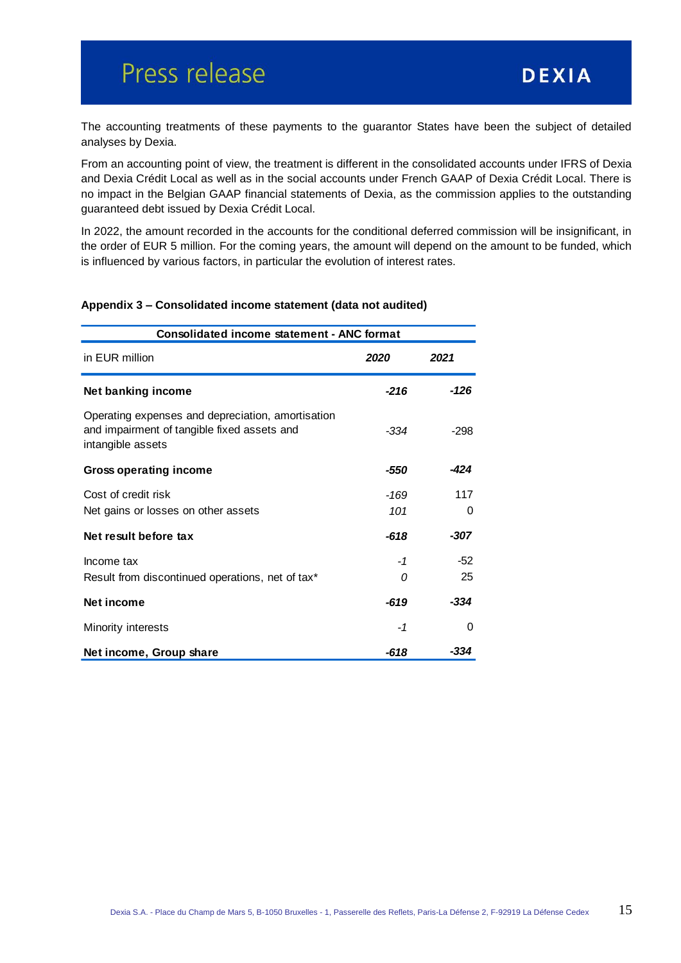The accounting treatments of these payments to the guarantor States have been the subject of detailed analyses by Dexia.

From an accounting point of view, the treatment is different in the consolidated accounts under IFRS of Dexia and Dexia Crédit Local as well as in the social accounts under French GAAP of Dexia Crédit Local. There is no impact in the Belgian GAAP financial statements of Dexia, as the commission applies to the outstanding guaranteed debt issued by Dexia Crédit Local.

In 2022, the amount recorded in the accounts for the conditional deferred commission will be insignificant, in the order of EUR 5 million. For the coming years, the amount will depend on the amount to be funded, which is influenced by various factors, in particular the evolution of interest rates.

## **Net banking income** *-216 -126* Operating expenses and depreciation, amortisation and impairment of tangible fixed assets and **Consolidated income statement - ANC format** in EUR million *2020 2021*

#### **Appendix 3 – Consolidated income statement (data not audited)**

| Operating expenses and depreciation, amortisation<br>and impairment of tangible fixed assets and<br>intangible assets | -334   | -298  |
|-----------------------------------------------------------------------------------------------------------------------|--------|-------|
| Gross operating income                                                                                                | -550   | -424  |
| Cost of credit risk                                                                                                   | -169   | 117   |
| Net gains or losses on other assets                                                                                   | 101    | 0     |
| Net result before tax                                                                                                 | -618   | -307  |
| Income tax                                                                                                            | -1     | $-52$ |
| Result from discontinued operations, net of tax*                                                                      | 0      | 25    |
| Net income                                                                                                            | $-619$ | -334  |
| Minority interests                                                                                                    | -1     | 0     |
| Net income, Group share                                                                                               | -618   | -334  |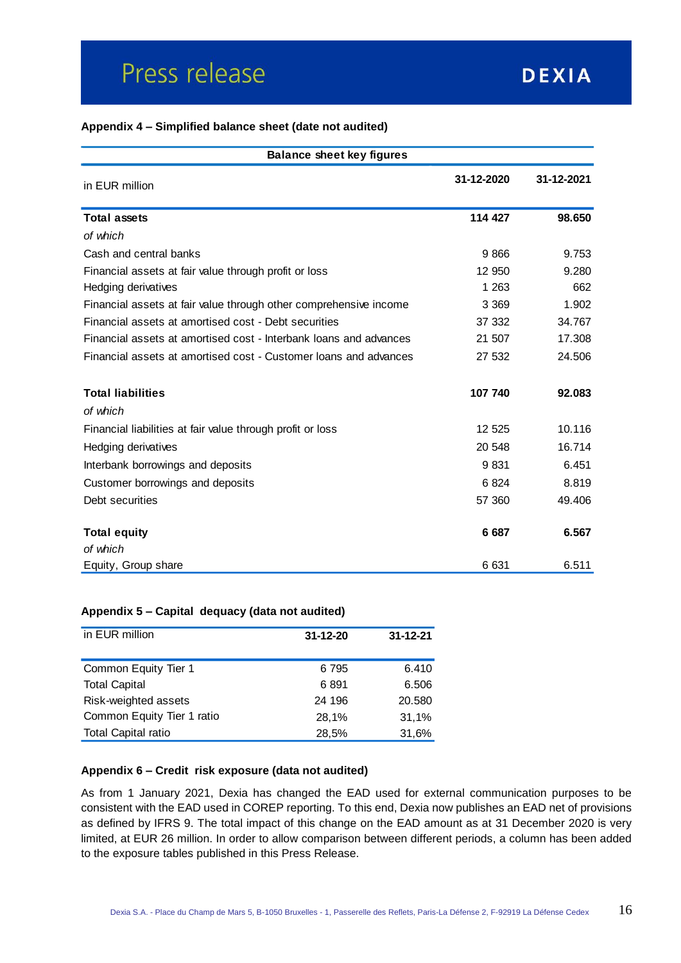#### **Appendix 4 – Simplified balance sheet (date not audited)**

| <b>Balance sheet key figures</b>                                  |            |            |  |  |  |
|-------------------------------------------------------------------|------------|------------|--|--|--|
| in EUR million                                                    | 31-12-2020 | 31-12-2021 |  |  |  |
| <b>Total assets</b>                                               | 114 427    | 98.650     |  |  |  |
| of which                                                          |            |            |  |  |  |
| Cash and central banks                                            | 9866       | 9.753      |  |  |  |
| Financial assets at fair value through profit or loss             | 12 950     | 9.280      |  |  |  |
| Hedging derivatives                                               | 1 2 6 3    | 662        |  |  |  |
| Financial assets at fair value through other comprehensive income | 3 3 6 9    | 1.902      |  |  |  |
| Financial assets at amortised cost - Debt securities              | 37 332     | 34.767     |  |  |  |
| Financial assets at amortised cost - Interbank loans and advances | 21 507     | 17.308     |  |  |  |
| Financial assets at amortised cost - Customer loans and advances  | 27 532     | 24.506     |  |  |  |
| <b>Total liabilities</b>                                          | 107 740    | 92.083     |  |  |  |
| of which                                                          |            |            |  |  |  |
| Financial liabilities at fair value through profit or loss        | 12 5 25    | 10.116     |  |  |  |
| Hedging derivatives                                               | 20 548     | 16.714     |  |  |  |
| Interbank borrowings and deposits                                 | 9831       | 6.451      |  |  |  |
| Customer borrowings and deposits                                  | 6824       | 8.819      |  |  |  |
| Debt securities                                                   | 57 360     | 49.406     |  |  |  |
| <b>Total equity</b>                                               | 6687       | 6.567      |  |  |  |
| of which                                                          |            |            |  |  |  |
| Equity, Group share                                               | 6631       | 6.511      |  |  |  |

#### **Appendix 5 – Capital dequacy (data not audited)**

| in EUR million             | $31 - 12 - 20$ | $31 - 12 - 21$ |
|----------------------------|----------------|----------------|
| Common Equity Tier 1       | 6795           | 6.410          |
| <b>Total Capital</b>       | 6891           | 6.506          |
| Risk-weighted assets       | 24 196         | 20.580         |
| Common Equity Tier 1 ratio | 28,1%          | 31,1%          |
| <b>Total Capital ratio</b> | 28,5%          | 31,6%          |

#### **Appendix 6 – Credit risk exposure (data not audited)**

As from 1 January 2021, Dexia has changed the EAD used for external communication purposes to be consistent with the EAD used in COREP reporting. To this end, Dexia now publishes an EAD net of provisions as defined by IFRS 9. The total impact of this change on the EAD amount as at 31 December 2020 is very limited, at EUR 26 million. In order to allow comparison between different periods, a column has been added to the exposure tables published in this Press Release.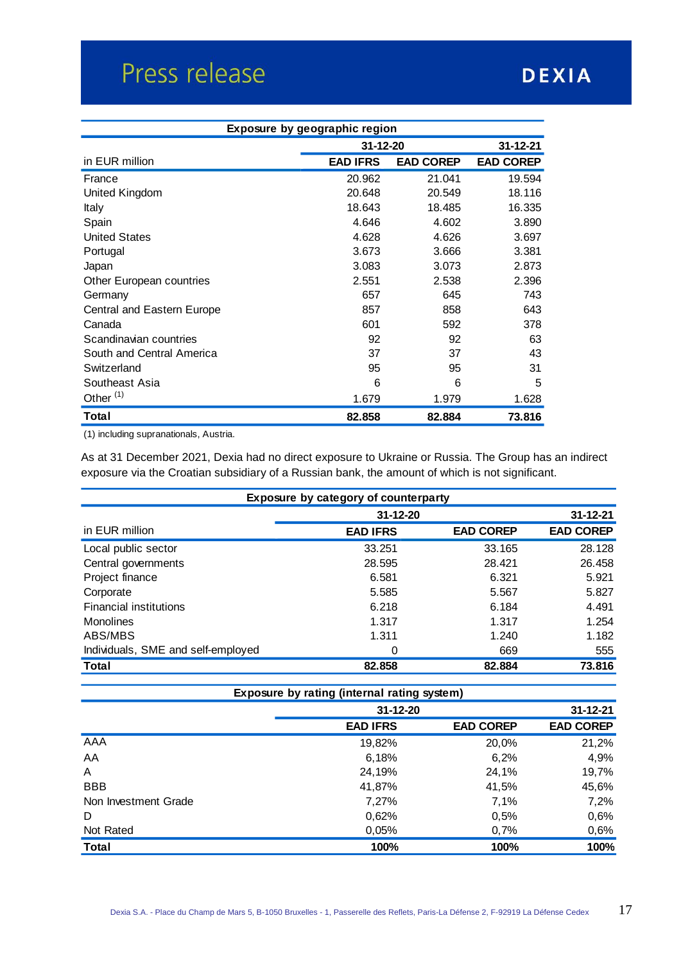| Exposure by geographic region |                            |                  |                  |  |  |
|-------------------------------|----------------------------|------------------|------------------|--|--|
|                               | 31-12-20<br>$31 - 12 - 21$ |                  |                  |  |  |
| in EUR million                | <b>EAD IFRS</b>            | <b>EAD COREP</b> | <b>EAD COREP</b> |  |  |
| France                        | 20.962                     | 21.041           | 19.594           |  |  |
| United Kingdom                | 20.648                     | 20.549           | 18.116           |  |  |
| Italy                         | 18.643                     | 18.485           | 16.335           |  |  |
| Spain                         | 4.646                      | 4.602            | 3.890            |  |  |
| <b>United States</b>          | 4.628                      | 4.626            | 3.697            |  |  |
| Portugal                      | 3.673                      | 3.666            | 3.381            |  |  |
| Japan                         | 3.083                      | 3.073            | 2.873            |  |  |
| Other European countries      | 2.551                      | 2.538            | 2.396            |  |  |
| Germany                       | 657                        | 645              | 743              |  |  |
| Central and Eastern Europe    | 857                        | 858              | 643              |  |  |
| Canada                        | 601                        | 592              | 378              |  |  |
| Scandinavian countries        | 92                         | 92               | 63               |  |  |
| South and Central America     | 37                         | 37               | 43               |  |  |
| Switzerland                   | 95                         | 95               | 31               |  |  |
| Southeast Asia                | 6                          | 6                | 5                |  |  |
| Other <sup>(1)</sup>          | 1.679                      | 1.979            | 1.628            |  |  |
| Total                         | 82.858                     | 82.884           | 73.816           |  |  |

(1) including supranationals, Austria.

As at 31 December 2021, Dexia had no direct exposure to Ukraine or Russia. The Group has an indirect exposure via the Croatian subsidiary of a Russian bank, the amount of which is not significant.

| Exposure by category of counterparty |                 |                  |                  |  |  |  |
|--------------------------------------|-----------------|------------------|------------------|--|--|--|
|                                      | 31-12-20        |                  | $31 - 12 - 21$   |  |  |  |
| in EUR million                       | <b>EAD IFRS</b> | <b>EAD COREP</b> | <b>EAD COREP</b> |  |  |  |
| Local public sector                  | 33.251          | 33.165           | 28.128           |  |  |  |
| Central governments                  | 28.595          | 28.421           | 26.458           |  |  |  |
| Project finance                      | 6.581           | 6.321            | 5.921            |  |  |  |
| Corporate                            | 5.585           | 5.567            | 5.827            |  |  |  |
| <b>Financial institutions</b>        | 6.218           | 6.184            | 4.491            |  |  |  |
| <b>Monolines</b>                     | 1.317           | 1.317            | 1.254            |  |  |  |
| ABS/MBS                              | 1.311           | 1.240            | 1.182            |  |  |  |
| Individuals, SME and self-employed   | 0               | 669              | 555              |  |  |  |
| Total                                | 82.858          | 82.884           | 73.816           |  |  |  |

| Exposure by rating (internal rating system) |                 |                  |                  |  |  |  |
|---------------------------------------------|-----------------|------------------|------------------|--|--|--|
|                                             | $31 - 12 - 20$  |                  | $31 - 12 - 21$   |  |  |  |
|                                             | <b>EAD IFRS</b> | <b>EAD COREP</b> | <b>EAD COREP</b> |  |  |  |
| AAA                                         | 19,82%          | 20,0%            | 21,2%            |  |  |  |
| AA                                          | 6,18%           | 6,2%             | 4,9%             |  |  |  |
| A                                           | 24,19%          | 24,1%            | 19,7%            |  |  |  |
| <b>BBB</b>                                  | 41,87%          | 41,5%            | 45,6%            |  |  |  |
| Non Investment Grade                        | 7,27%           | 7,1%             | 7,2%             |  |  |  |
| D                                           | 0,62%           | 0,5%             | 0,6%             |  |  |  |
| Not Rated                                   | 0,05%           | 0,7%             | 0,6%             |  |  |  |
| <b>Total</b>                                | 100%            | 100%             | 100%             |  |  |  |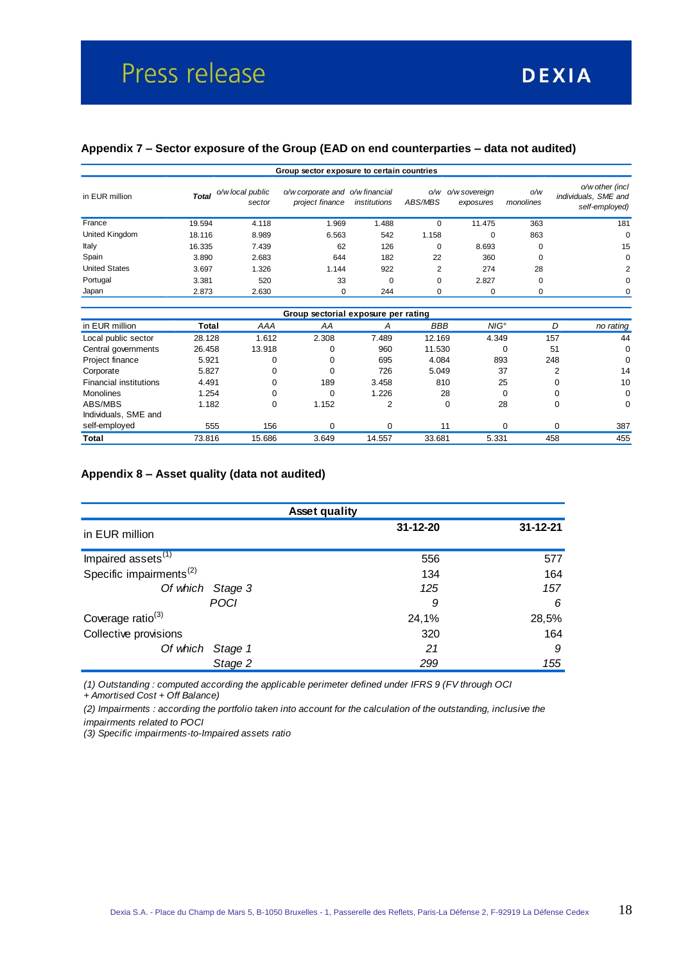### **Appendix 7 – Sector exposure of the Group (EAD on end counterparties – data not audited)**

| Group sector exposure to certain countries |              |                            |                                                    |              |                |                            |                  |                                                           |
|--------------------------------------------|--------------|----------------------------|----------------------------------------------------|--------------|----------------|----------------------------|------------------|-----------------------------------------------------------|
| in EUR million                             | <b>Total</b> | o/w local public<br>sector | o/w corporate and o/w financial<br>project finance | institutions | O/W<br>ABS/MBS | o/w sovereign<br>exposures | O/W<br>monolines | o/w other (incl<br>individuals, SME and<br>self-employed) |
| France                                     | 19.594       | 4.118                      | 1.969                                              | 1.488        | $\Omega$       | 11.475                     | 363              | 181                                                       |
| United Kingdom                             | 18.116       | 8.989                      | 6.563                                              | 542          | 1.158          | $\Omega$                   | 863              | $\Omega$                                                  |
| Italy                                      | 16.335       | 7.439                      | 62                                                 | 126          | 0              | 8.693                      | 0                | 15                                                        |
| Spain                                      | 3.890        | 2.683                      | 644                                                | 182          | 22             | 360                        | 0                | $\Omega$                                                  |
| <b>United States</b>                       | 3.697        | 1.326                      | 1.144                                              | 922          | 2              | 274                        | 28               | 2                                                         |
| Portugal                                   | 3.381        | 520                        | 33                                                 | $\mathbf 0$  | 0              | 2.827                      | 0                | $\Omega$                                                  |
| Japan                                      | 2.873        | 2.630                      | 0                                                  | 244          | 0              | 0                          | 0                | $\Omega$                                                  |

| Group sectorial exposure per rating |        |        |       |        |            |               |          |           |
|-------------------------------------|--------|--------|-------|--------|------------|---------------|----------|-----------|
| in EUR million                      | Total  | AAA    | ΑA    | A      | <b>BBB</b> | $NIG^{\circ}$ | D        | no rating |
| Local public sector                 | 28.128 | 1.612  | 2.308 | 7.489  | 12.169     | 4.349         | 157      | 44        |
| Central governments                 | 26.458 | 13.918 | 0     | 960    | 11.530     |               | 51       | 0         |
| Project finance                     | 5.921  |        | 0     | 695    | 4.084      | 893           | 248      | $\Omega$  |
| Corporate                           | 5.827  | 0      | 0     | 726    | 5.049      | 37            | 2        | 14        |
| <b>Financial institutions</b>       | 4.491  |        | 189   | 3.458  | 810        | 25            |          | 10        |
| <b>Monolines</b>                    | 1.254  |        | 0     | 1.226  | 28         | $\Omega$      |          | 0         |
| ABS/MBS                             | 1.182  | 0      | 1.152 | 2      | 0          | 28            | 0        | 0         |
| Individuals, SME and                |        |        |       |        |            |               |          |           |
| self-employed                       | 555    | 156    | 0     |        | 11         | $\Omega$      | $\Omega$ | 387       |
| Total                               | 73.816 | 15.686 | 3.649 | 14.557 | 33.681     | 5.331         | 458      | 455       |

#### **Appendix 8 – Asset quality (data not audited)**

| <b>Asset quality</b>                |                |                |  |  |  |
|-------------------------------------|----------------|----------------|--|--|--|
| in EUR million                      | $31 - 12 - 20$ | $31 - 12 - 21$ |  |  |  |
| Impaired assets <sup>(1)</sup>      | 556            | 577            |  |  |  |
| Specific impairments <sup>(2)</sup> | 134            | 164            |  |  |  |
| Of which Stage 3                    | 125            | 157            |  |  |  |
| <b>POCI</b>                         | 9              | 6              |  |  |  |
| Coverage ratio <sup>(3)</sup>       | 24,1%          | 28,5%          |  |  |  |
| Collective provisions               | 320            | 164            |  |  |  |
| Of which Stage 1                    | 21             | 9              |  |  |  |
| Stage 2                             | 299            | 155            |  |  |  |

*(1) Outstanding : computed according the applicable perimeter defined under IFRS 9 (FV through OCI + Amortised Cost + Off Balance)*

*(2) Impairments : according the portfolio taken into account for the calculation of the outstanding, inclusive the impairments related to POCI*

*(3) Specific impairments-to-Impaired assets ratio*